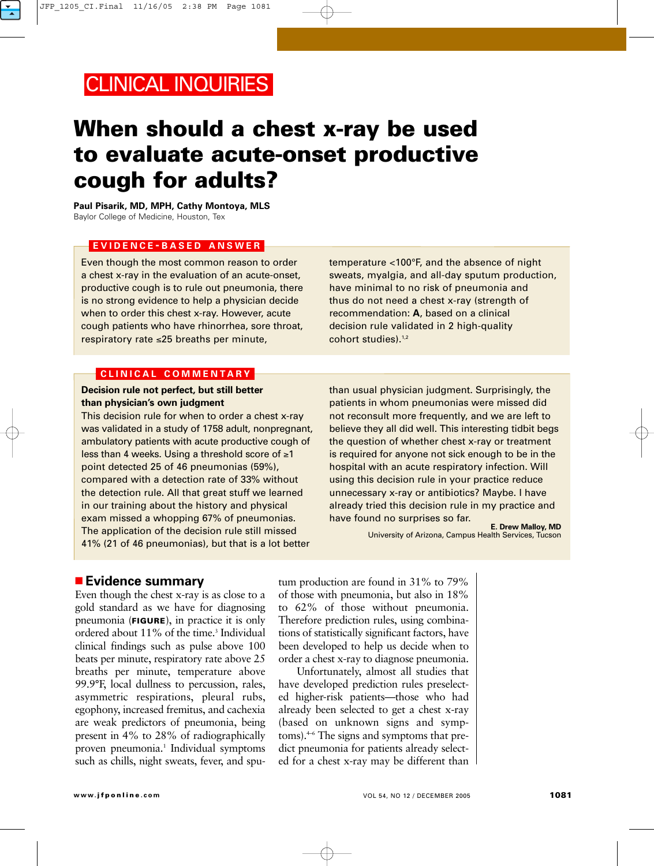## CLINICAL INQUIRIES

# **When should a chest x-ray be used to evaluate acute-onset productive cough for adults?**

**Paul Pisarik, MD, MPH, Cathy Montoya, MLS** Baylor College of Medicine, Houston, Tex

### **EVIDENCE - BASED ANSWER**

Even though the most common reason to order a chest x-ray in the evaluation of an acute-onset, productive cough is to rule out pneumonia, there is no strong evidence to help a physician decide when to order this chest x-ray. However, acute cough patients who have rhinorrhea, sore throat, respiratory rate ≤25 breaths per minute,

temperature <100°F, and the absence of night sweats, myalgia, and all-day sputum production, have minimal to no risk of pneumonia and thus do not need a chest x-ray (strength of recommendation: **A**, based on a clinical decision rule validated in 2 high-quality cohort studies).<sup>1,2</sup>

#### **CLINICAL COMMENTARY**

### **Decision rule not perfect, but still better than physician's own judgment**

This decision rule for when to order a chest x-ray was validated in a study of 1758 adult, nonpregnant, ambulatory patients with acute productive cough of less than 4 weeks. Using a threshold score of ≥1 point detected 25 of 46 pneumonias (59%), compared with a detection rate of 33% without the detection rule. All that great stuff we learned in our training about the history and physical exam missed a whopping 67% of pneumonias. The application of the decision rule still missed 41% (21 of 46 pneumonias), but that is a lot better

than usual physician judgment. Surprisingly, the patients in whom pneumonias were missed did not reconsult more frequently, and we are left to believe they all did well. This interesting tidbit begs the question of whether chest x-ray or treatment is required for anyone not sick enough to be in the hospital with an acute respiratory infection. Will using this decision rule in your practice reduce unnecessary x-ray or antibiotics? Maybe. I have already tried this decision rule in my practice and have found no surprises so far.

**E. Drew Malloy, MD** University of Arizona, Campus Health Services, Tucson

### ■ **Evidence summary**

Even though the chest x-ray is as close to a gold standard as we have for diagnosing pneumonia (**FIGURE**), in practice it is only ordered about 11% of the time.<sup>3</sup> Individual clinical findings such as pulse above 100 beats per minute, respiratory rate above 25 breaths per minute, temperature above 99.9°F, local dullness to percussion, rales, asymmetric respirations, pleural rubs, egophony, increased fremitus, and cachexia are weak predictors of pneumonia, being present in 4% to 28% of radiographically proven pneumonia.<sup>1</sup> Individual symptoms such as chills, night sweats, fever, and spu-

tum production are found in 31% to 79% of those with pneumonia, but also in 18% to 62% of those without pneumonia. Therefore prediction rules, using combinations of statistically significant factors, have been developed to help us decide when to order a chest x-ray to diagnose pneumonia.

Unfortunately, almost all studies that have developed prediction rules preselected higher-risk patients—those who had already been selected to get a chest x-ray (based on unknown signs and symptoms).4–6 The signs and symptoms that predict pneumonia for patients already selected for a chest x-ray may be different than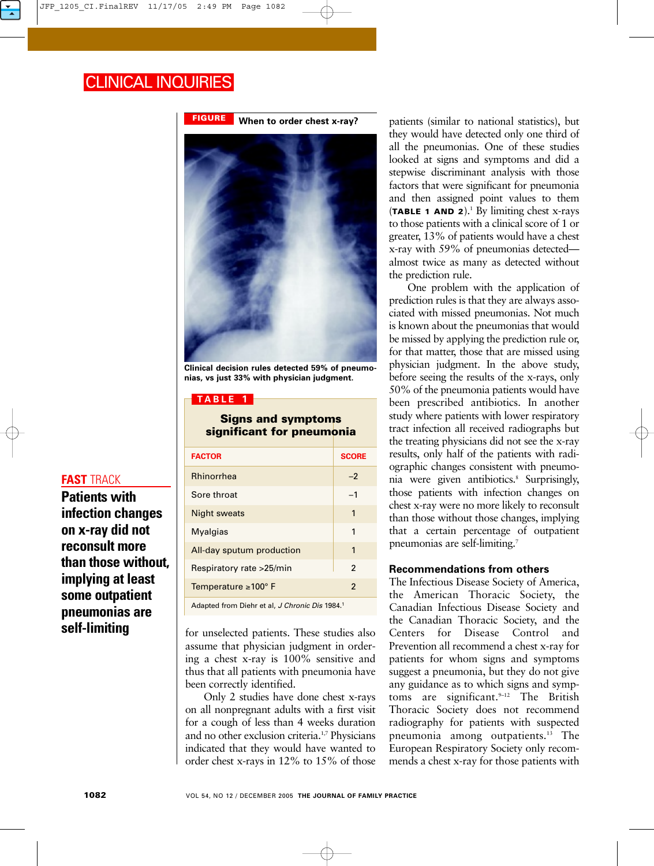## CLINICAL INQUIRIES



**Clinical decision rules detected 59% of pneumonias, vs just 33% with physician judgment.**

### **TABLE 1**

**Signs and symptoms significant for pneumonia**

| <b>FACTOR</b>                                              | <b>SCORE</b>             |  |  |
|------------------------------------------------------------|--------------------------|--|--|
| <b>Rhinorrhea</b>                                          | $-2$                     |  |  |
| Sore throat                                                | $-1$                     |  |  |
| <b>Night sweats</b>                                        | 1                        |  |  |
| <b>Myalgias</b>                                            | $\mathbf{1}$             |  |  |
| All-day sputum production                                  | 1                        |  |  |
| Respiratory rate >25/min                                   | $\mathcal{P}$            |  |  |
| Temperature $\geq 100^\circ$ F                             | $\overline{\phantom{a}}$ |  |  |
| Adapted from Diehr et al, J Chronic Dis 1984. <sup>1</sup> |                          |  |  |

for unselected patients. These studies also assume that physician judgment in ordering a chest x-ray is 100% sensitive and thus that all patients with pneumonia have been correctly identified.

Only 2 studies have done chest x-rays on all nonpregnant adults with a first visit for a cough of less than 4 weeks duration and no other exclusion criteria.1,7 Physicians indicated that they would have wanted to order chest x-rays in 12% to 15% of those

patients (similar to national statistics), but they would have detected only one third of all the pneumonias. One of these studies looked at signs and symptoms and did a stepwise discriminant analysis with those factors that were significant for pneumonia and then assigned point values to them (**TABLE 1 AND 2**).1 By limiting chest x-rays to those patients with a clinical score of 1 or greater, 13% of patients would have a chest x-ray with 59% of pneumonias detected almost twice as many as detected without the prediction rule.

One problem with the application of prediction rules is that they are always associated with missed pneumonias. Not much is known about the pneumonias that would be missed by applying the prediction rule or, for that matter, those that are missed using physician judgment. In the above study, before seeing the results of the x-rays, only 50% of the pneumonia patients would have been prescribed antibiotics. In another study where patients with lower respiratory tract infection all received radiographs but the treating physicians did not see the x-ray results, only half of the patients with radiographic changes consistent with pneumonia were given antibiotics.<sup>8</sup> Surprisingly, those patients with infection changes on chest x-ray were no more likely to reconsult than those without those changes, implying that a certain percentage of outpatient pneumonias are self-limiting.7

### **Recommendations from others**

The Infectious Disease Society of America, the American Thoracic Society, the Canadian Infectious Disease Society and the Canadian Thoracic Society, and the Centers for Disease Control and Prevention all recommend a chest x-ray for patients for whom signs and symptoms suggest a pneumonia, but they do not give any guidance as to which signs and symptoms are significant.<sup>9-12</sup> The British Thoracic Society does not recommend radiography for patients with suspected pneumonia among outpatients.<sup>13</sup> The European Respiratory Society only recommends a chest x-ray for those patients with

### **FAST** TRACK

**Patients with infection changes on x-ray did not reconsult more than those without, implying at least some outpatient pneumonias are self-limiting**